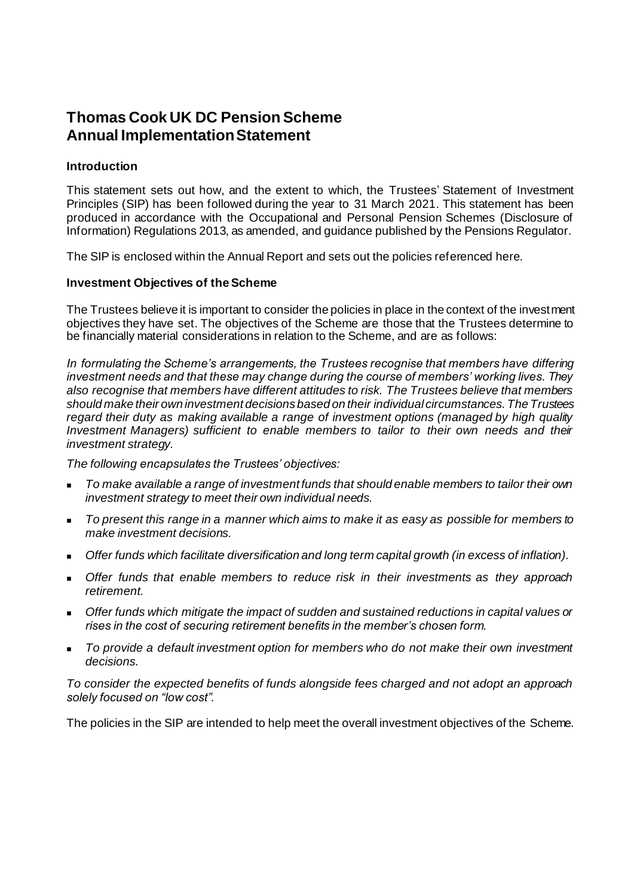# **Thomas Cook UK DC Pension Scheme Annual Implementation Statement**

#### **Introduction**

This statement sets out how, and the extent to which, the Trustees' Statement of Investment Principles (SIP) has been followed during the year to 31 March 2021. This statement has been produced in accordance with the Occupational and Personal Pension Schemes (Disclosure of Information) Regulations 2013, as amended, and guidance published by the Pensions Regulator.

The SIP is enclosed within the Annual Report and sets out the policies referenced here.

#### **Investment Objectives of the Scheme**

The Trustees believe it is important to consider the policies in place in the context of the investment objectives they have set. The objectives of the Scheme are those that the Trustees determine to be financially material considerations in relation to the Scheme, and are as follows:

*In formulating the Scheme's arrangements, the Trustees recognise that members have differing investment needs and that these may change during the course of members' working lives. They also recognise that members have different attitudes to risk. The Trustees believe that members should make their own investment decisions based on their individual circumstances. The Trustees regard their duty as making available a range of investment options (managed by high quality Investment Managers) sufficient to enable members to tailor to their own needs and their investment strategy.*

*The following encapsulates the Trustees' objectives:*

- <sup>◼</sup> *To make available a range of investment funds that should enable members to tailor their own investment strategy to meet their own individual needs.*
- <sup>◼</sup> *To present this range in a manner which aims to make it as easy as possible for members to make investment decisions.*
- <sup>◼</sup> *Offer funds which facilitate diversification and long term capital growth (in excess of inflation).*
- <sup>◼</sup> *Offer funds that enable members to reduce risk in their investments as they approach retirement.*
- Offer funds which mitigate the impact of sudden and sustained reductions in capital values or *rises in the cost of securing retirement benefits in the member's chosen form.*
- <sup>◼</sup> *To provide a default investment option for members who do not make their own investment decisions.*

*To consider the expected benefits of funds alongside fees charged and not adopt an approach solely focused on "low cost".*

The policies in the SIP are intended to help meet the overall investment objectives of the Scheme.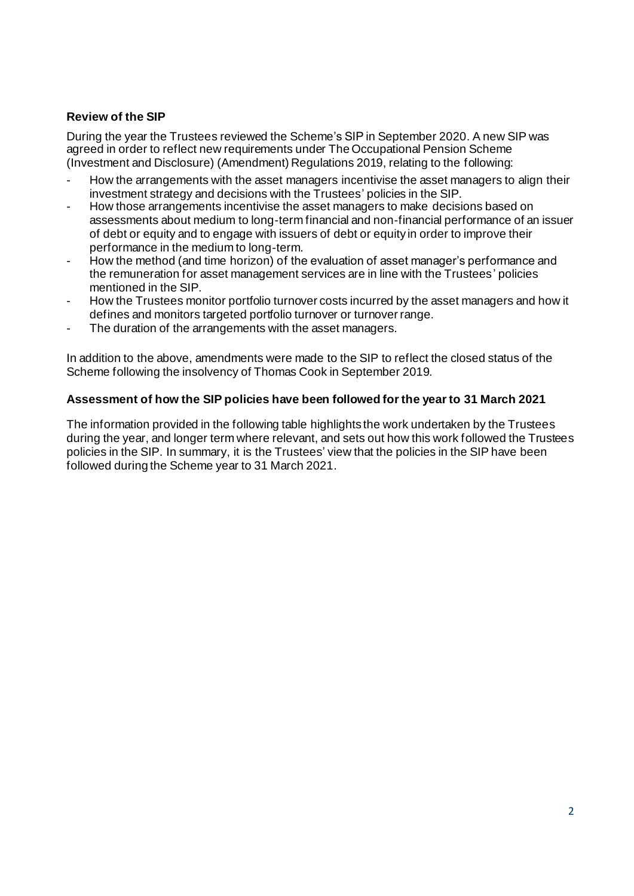### **Review of the SIP**

During the year the Trustees reviewed the Scheme's SIP in September 2020. A new SIP was agreed in order to reflect new requirements under The Occupational Pension Scheme (Investment and Disclosure) (Amendment) Regulations 2019, relating to the following:

- How the arrangements with the asset managers incentivise the asset managers to align their investment strategy and decisions with the Trustees' policies in the SIP.
- How those arrangements incentivise the asset managers to make decisions based on assessments about medium to long-term financial and non-financial performance of an issuer of debt or equity and to engage with issuers of debt or equity in order to improve their performance in the medium to long-term.
- How the method (and time horizon) of the evaluation of asset manager's performance and the remuneration for asset management services are in line with the Trustees' policies mentioned in the SIP.
- How the Trustees monitor portfolio turnover costs incurred by the asset managers and how it defines and monitors targeted portfolio turnover or turnover range.
- The duration of the arrangements with the asset managers.

In addition to the above, amendments were made to the SIP to reflect the closed status of the Scheme following the insolvency of Thomas Cook in September 2019.

#### **Assessment of how the SIP policies have been followed for the year to 31 March 2021**

The information provided in the following table highlights the work undertaken by the Trustees during the year, and longer term where relevant, and sets out how this work followed the Trustees policies in the SIP. In summary, it is the Trustees' view that the policies in the SIP have been followed during the Scheme year to 31 March 2021.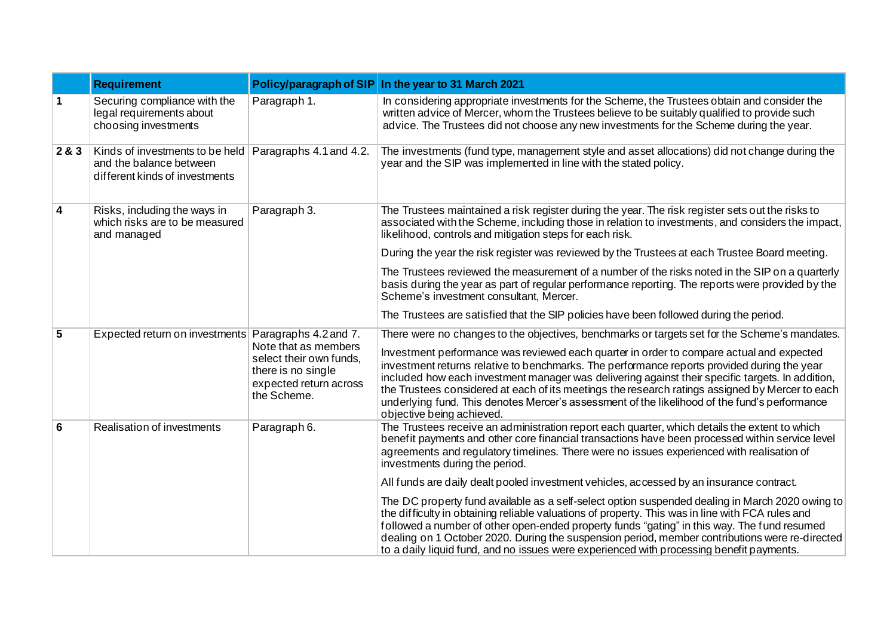|                         | <b>Requirement</b>                                                                           | Policy/paragraph of SIP                                                                                        | In the year to 31 March 2021                                                                                                                                                                                                                                                                                                                                                                                                                                                                                                 |
|-------------------------|----------------------------------------------------------------------------------------------|----------------------------------------------------------------------------------------------------------------|------------------------------------------------------------------------------------------------------------------------------------------------------------------------------------------------------------------------------------------------------------------------------------------------------------------------------------------------------------------------------------------------------------------------------------------------------------------------------------------------------------------------------|
| $\mathbf 1$             | Securing compliance with the<br>legal requirements about<br>choosing investments             | Paragraph 1.                                                                                                   | In considering appropriate investments for the Scheme, the Trustees obtain and consider the<br>written advice of Mercer, whom the Trustees believe to be suitably qualified to provide such<br>advice. The Trustees did not choose any new investments for the Scheme during the year.                                                                                                                                                                                                                                       |
| 2&3                     | Kinds of investments to be held<br>and the balance between<br>different kinds of investments | Paragraphs 4.1 and 4.2.                                                                                        | The investments (fund type, management style and asset allocations) did not change during the<br>year and the SIP was implemented in line with the stated policy.                                                                                                                                                                                                                                                                                                                                                            |
| $\overline{\mathbf{4}}$ | Risks, including the ways in<br>which risks are to be measured<br>and managed                | Paragraph 3.                                                                                                   | The Trustees maintained a risk register during the year. The risk register sets out the risks to<br>associated with the Scheme, including those in relation to investments, and considers the impact,<br>likelihood, controls and mitigation steps for each risk.                                                                                                                                                                                                                                                            |
|                         |                                                                                              |                                                                                                                | During the year the risk register was reviewed by the Trustees at each Trustee Board meeting.                                                                                                                                                                                                                                                                                                                                                                                                                                |
|                         |                                                                                              |                                                                                                                | The Trustees reviewed the measurement of a number of the risks noted in the SIP on a quarterly<br>basis during the year as part of regular performance reporting. The reports were provided by the<br>Scheme's investment consultant, Mercer.                                                                                                                                                                                                                                                                                |
|                         |                                                                                              |                                                                                                                | The Trustees are satisfied that the SIP policies have been followed during the period.                                                                                                                                                                                                                                                                                                                                                                                                                                       |
| $5\overline{)}$         | Expected return on investments Paragraphs 4.2 and 7.                                         |                                                                                                                | There were no changes to the objectives, benchmarks or targets set for the Scheme's mandates.                                                                                                                                                                                                                                                                                                                                                                                                                                |
|                         |                                                                                              | Note that as members<br>select their own funds,<br>there is no single<br>expected return across<br>the Scheme. | Investment performance was reviewed each quarter in order to compare actual and expected<br>investment returns relative to benchmarks. The performance reports provided during the year<br>included how each investment manager was delivering against their specific targets. In addition,<br>the Trustees considered at each of its meetings the research ratings assigned by Mercer to each<br>underlying fund. This denotes Mercer's assessment of the likelihood of the fund's performance<br>objective being achieved. |
| 6                       | Realisation of investments                                                                   | Paragraph 6.                                                                                                   | The Trustees receive an administration report each quarter, which details the extent to which<br>benefit payments and other core financial transactions have been processed within service level<br>agreements and regulatory timelines. There were no issues experienced with realisation of<br>investments during the period.                                                                                                                                                                                              |
|                         |                                                                                              |                                                                                                                | All funds are daily dealt pooled investment vehicles, accessed by an insurance contract.                                                                                                                                                                                                                                                                                                                                                                                                                                     |
|                         |                                                                                              |                                                                                                                | The DC property fund available as a self-select option suspended dealing in March 2020 owing to<br>the difficulty in obtaining reliable valuations of property. This was in line with FCA rules and<br>followed a number of other open-ended property funds "gating" in this way. The fund resumed<br>dealing on 1 October 2020. During the suspension period, member contributions were re-directed<br>to a daily liquid fund, and no issues were experienced with processing benefit payments.                             |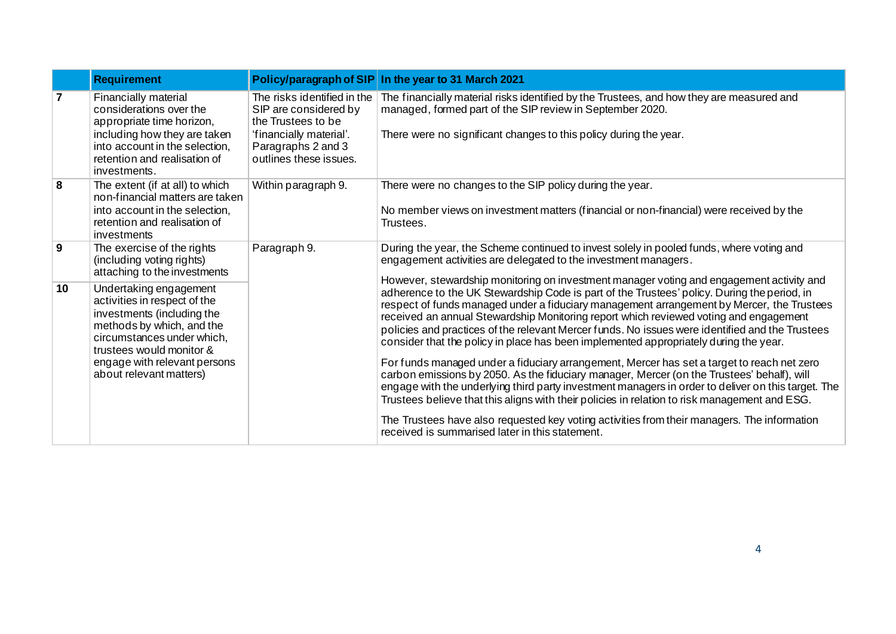|                 | <b>Requirement</b>                                                                                                                                                                                                                     | Policy/paragraph of SIP                                                                                                                               | In the year to 31 March 2021                                                                                                                                                                                                                                                                                                                                                                                                                                                                                                                                                                                                                                                                                                                                                                                                                                                                                                                                                 |
|-----------------|----------------------------------------------------------------------------------------------------------------------------------------------------------------------------------------------------------------------------------------|-------------------------------------------------------------------------------------------------------------------------------------------------------|------------------------------------------------------------------------------------------------------------------------------------------------------------------------------------------------------------------------------------------------------------------------------------------------------------------------------------------------------------------------------------------------------------------------------------------------------------------------------------------------------------------------------------------------------------------------------------------------------------------------------------------------------------------------------------------------------------------------------------------------------------------------------------------------------------------------------------------------------------------------------------------------------------------------------------------------------------------------------|
| $\overline{7}$  | Financially material<br>considerations over the<br>appropriate time horizon,<br>including how they are taken<br>into account in the selection,<br>retention and realisation of<br>investments.                                         | The risks identified in the<br>SIP are considered by<br>the Trustees to be<br>'financially material'.<br>Paragraphs 2 and 3<br>outlines these issues. | The financially material risks identified by the Trustees, and how they are measured and<br>managed, formed part of the SIP review in September 2020.<br>There were no significant changes to this policy during the year.                                                                                                                                                                                                                                                                                                                                                                                                                                                                                                                                                                                                                                                                                                                                                   |
| 8               | The extent (if at all) to which<br>non-financial matters are taken<br>into account in the selection,<br>retention and realisation of<br>investments                                                                                    | Within paragraph 9.                                                                                                                                   | There were no changes to the SIP policy during the year.<br>No member views on investment matters (financial or non-financial) were received by the<br>Trustees.                                                                                                                                                                                                                                                                                                                                                                                                                                                                                                                                                                                                                                                                                                                                                                                                             |
| 9               | The exercise of the rights<br>(including voting rights)<br>attaching to the investments                                                                                                                                                | Paragraph 9.                                                                                                                                          | During the year, the Scheme continued to invest solely in pooled funds, where voting and<br>engagement activities are delegated to the investment managers.                                                                                                                                                                                                                                                                                                                                                                                                                                                                                                                                                                                                                                                                                                                                                                                                                  |
| 10 <sup>°</sup> | Undertaking engagement<br>activities in respect of the<br>investments (including the<br>methods by which, and the<br>circumstances under which,<br>trustees would monitor &<br>engage with relevant persons<br>about relevant matters) |                                                                                                                                                       | However, stewardship monitoring on investment manager voting and engagement activity and<br>adherence to the UK Stewardship Code is part of the Trustees' policy. During the period, in<br>respect of funds managed under a fiduciary management arrangement by Mercer, the Trustees<br>received an annual Stewardship Monitoring report which reviewed voting and engagement<br>policies and practices of the relevant Mercer funds. No issues were identified and the Trustees<br>consider that the policy in place has been implemented appropriately during the year.<br>For funds managed under a fiduciary arrangement, Mercer has set a target to reach net zero<br>carbon emissions by 2050. As the fiduciary manager, Mercer (on the Trustees' behalf), will<br>engage with the underlying third party investment managers in order to deliver on this target. The<br>Trustees believe that this aligns with their policies in relation to risk management and ESG. |
|                 |                                                                                                                                                                                                                                        |                                                                                                                                                       | The Trustees have also requested key voting activities from their managers. The information<br>received is summarised later in this statement.                                                                                                                                                                                                                                                                                                                                                                                                                                                                                                                                                                                                                                                                                                                                                                                                                               |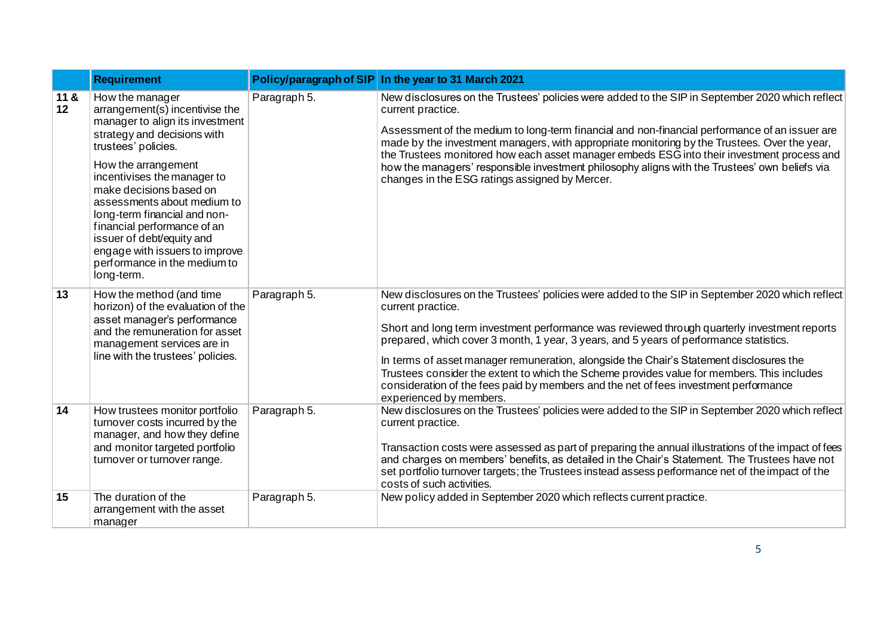|                          | <b>Requirement</b>                                                                                                                                                                                                                                                                                                                                                                                                                       | <b>Policy/paragraph of SIP</b> | In the year to 31 March 2021                                                                                                                                                                                                                                                                                                                                                                                                                                                                                                                                                                                               |
|--------------------------|------------------------------------------------------------------------------------------------------------------------------------------------------------------------------------------------------------------------------------------------------------------------------------------------------------------------------------------------------------------------------------------------------------------------------------------|--------------------------------|----------------------------------------------------------------------------------------------------------------------------------------------------------------------------------------------------------------------------------------------------------------------------------------------------------------------------------------------------------------------------------------------------------------------------------------------------------------------------------------------------------------------------------------------------------------------------------------------------------------------------|
| 11 &<br>12 <sup>12</sup> | How the manager<br>$arrangement(s)$ incentivise the<br>manager to align its investment<br>strategy and decisions with<br>trustees' policies.<br>How the arrangement<br>incentivises the manager to<br>make decisions based on<br>assessments about medium to<br>long-term financial and non-<br>financial performance of an<br>issuer of debt/equity and<br>engage with issuers to improve<br>performance in the medium to<br>long-term. | Paragraph 5.                   | New disclosures on the Trustees' policies were added to the SIP in September 2020 which reflect<br>current practice.<br>Assessment of the medium to long-term financial and non-financial performance of an issuer are<br>made by the investment managers, with appropriate monitoring by the Trustees. Over the year,<br>the Trustees monitored how each asset manager embeds ESG into their investment process and<br>how the managers' responsible investment philosophy aligns with the Trustees' own beliefs via<br>changes in the ESG ratings assigned by Mercer.                                                    |
| 13                       | How the method (and time<br>horizon) of the evaluation of the<br>asset manager's performance<br>and the remuneration for asset<br>management services are in<br>line with the trustees' policies.                                                                                                                                                                                                                                        | Paragraph 5.                   | New disclosures on the Trustees' policies were added to the SIP in September 2020 which reflect<br>current practice.<br>Short and long term investment performance was reviewed through quarterly investment reports<br>prepared, which cover 3 month, 1 year, 3 years, and 5 years of performance statistics.<br>In terms of asset manager remuneration, alongside the Chair's Statement disclosures the<br>Trustees consider the extent to which the Scheme provides value for members. This includes<br>consideration of the fees paid by members and the net of fees investment performance<br>experienced by members. |
| 14                       | How trustees monitor portfolio<br>turnover costs incurred by the<br>manager, and how they define<br>and monitor targeted portfolio<br>turnover or turnover range.                                                                                                                                                                                                                                                                        | Paragraph 5.                   | New disclosures on the Trustees' policies were added to the SIP in September 2020 which reflect<br>current practice.<br>Transaction costs were assessed as part of preparing the annual illustrations of the impact of fees<br>and charges on members' benefits, as detailed in the Chair's Statement. The Trustees have not<br>set portfolio turnover targets; the Trustees instead assess performance net of the impact of the<br>costs of such activities.                                                                                                                                                              |
| 15                       | The duration of the<br>arrangement with the asset<br>manager                                                                                                                                                                                                                                                                                                                                                                             | Paragraph 5.                   | New policy added in September 2020 which reflects current practice.                                                                                                                                                                                                                                                                                                                                                                                                                                                                                                                                                        |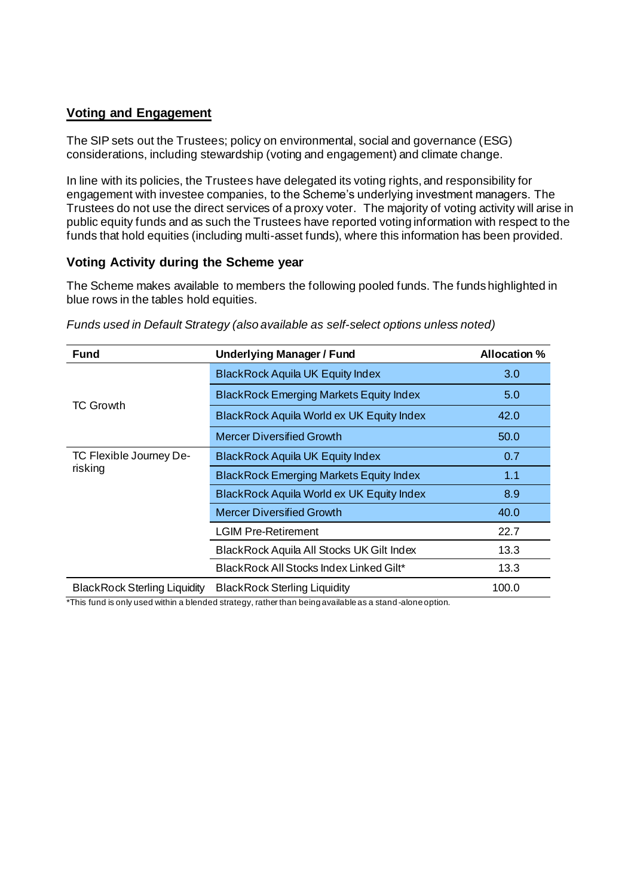## **Voting and Engagement**

The SIP sets out the Trustees; policy on environmental, social and governance (ESG) considerations, including stewardship (voting and engagement) and climate change.

In line with its policies, the Trustees have delegated its voting rights, and responsibility for engagement with investee companies, to the Scheme's underlying investment managers. The Trustees do not use the direct services of a proxy voter. The majority of voting activity will arise in public equity funds and as such the Trustees have reported voting information with respect to the funds that hold equities (including multi-asset funds), where this information has been provided.

### **Voting Activity during the Scheme year**

The Scheme makes available to members the following pooled funds. The funds highlighted in blue rows in the tables hold equities.

| <b>Fund</b>                         | <b>Underlying Manager / Fund</b>               | Allocation % |
|-------------------------------------|------------------------------------------------|--------------|
|                                     | <b>BlackRock Aquila UK Equity Index</b>        | 3.0          |
| TC Growth                           | <b>BlackRock Emerging Markets Equity Index</b> | 5.0          |
|                                     | BlackRock Aquila World ex UK Equity Index      | 42.0         |
|                                     | Mercer Diversified Growth                      | 50.0         |
| TC Flexible Journey De-             | <b>BlackRock Aquila UK Equity Index</b>        | 0.7          |
| risking                             | <b>BlackRock Emerging Markets Equity Index</b> | 1.1          |
|                                     | BlackRock Aquila World ex UK Equity Index      | 8.9          |
|                                     | <b>Mercer Diversified Growth</b>               | 40.0         |
|                                     | <b>LGIM Pre-Retirement</b>                     | 22.7         |
|                                     | BlackRock Aquila All Stocks UK Gilt Index      | 13.3         |
|                                     | BlackRock All Stocks Index Linked Gilt*        | 13.3         |
| <b>BlackRock Sterling Liquidity</b> | <b>BlackRock Sterling Liquidity</b>            | 100.0        |

*Funds used in Default Strategy (also available as self-select options unless noted)*

\*This fund is only used within a blended strategy, rather than being available as a stand -alone option.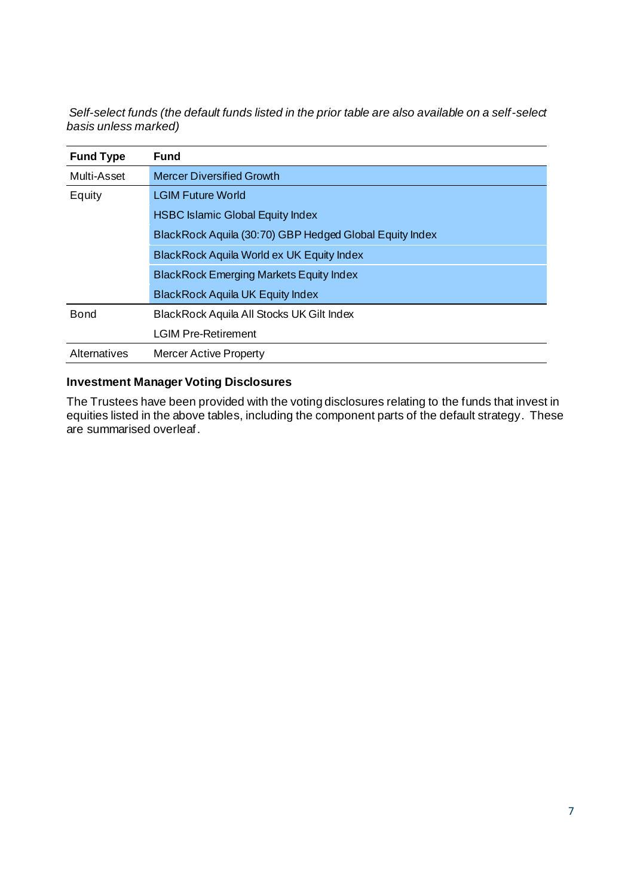*Self-select funds (the default funds listed in the prior table are also available on a self-select basis unless marked)*

| <b>Fund Type</b>                   | <b>Fund</b>                                             |
|------------------------------------|---------------------------------------------------------|
| Multi-Asset                        | <b>Mercer Diversified Growth</b>                        |
| <b>LGIM Future World</b><br>Equity |                                                         |
|                                    | <b>HSBC Islamic Global Equity Index</b>                 |
|                                    | BlackRock Aquila (30:70) GBP Hedged Global Equity Index |
|                                    | BlackRock Aquila World ex UK Equity Index               |
|                                    | <b>BlackRock Emerging Markets Equity Index</b>          |
|                                    | <b>BlackRock Aquila UK Equity Index</b>                 |
| <b>Bond</b>                        | <b>BlackRock Aquila All Stocks UK Gilt Index</b>        |
|                                    | <b>LGIM Pre-Retirement</b>                              |
| Alternatives                       | <b>Mercer Active Property</b>                           |

## **Investment Manager Voting Disclosures**

The Trustees have been provided with the voting disclosures relating to the funds that invest in equities listed in the above tables, including the component parts of the default strategy. These are summarised overleaf.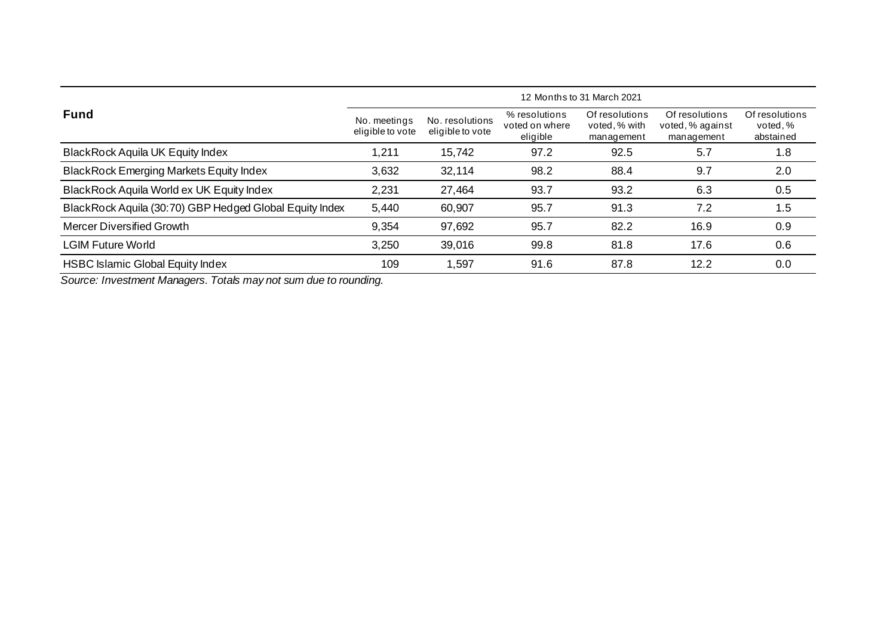|                                                         | 12 Months to 31 March 2021       |                                     |                                             |                                               |                                                  |                                        |
|---------------------------------------------------------|----------------------------------|-------------------------------------|---------------------------------------------|-----------------------------------------------|--------------------------------------------------|----------------------------------------|
| <b>Fund</b>                                             | No. meetings<br>eligible to vote | No. resolutions<br>eligible to vote | % resolutions<br>voted on where<br>eligible | Of resolutions<br>voted, % with<br>management | Of resolutions<br>voted, % against<br>management | Of resolutions<br>voted.%<br>abstained |
| <b>BlackRock Aquila UK Equity Index</b>                 | 1,211                            | 15,742                              | 97.2                                        | 92.5                                          | 5.7                                              | 1.8                                    |
| <b>BlackRock Emerging Markets Equity Index</b>          | 3,632                            | 32,114                              | 98.2                                        | 88.4                                          | 9.7                                              | 2.0                                    |
| BlackRock Aquila World ex UK Equity Index               | 2,231                            | 27,464                              | 93.7                                        | 93.2                                          | 6.3                                              | 0.5                                    |
| BlackRock Aquila (30:70) GBP Hedged Global Equity Index | 5,440                            | 60,907                              | 95.7                                        | 91.3                                          | 7.2                                              | 1.5                                    |
| <b>Mercer Diversified Growth</b>                        | 9,354                            | 97,692                              | 95.7                                        | 82.2                                          | 16.9                                             | 0.9                                    |
| <b>LGIM Future World</b>                                | 3,250                            | 39,016                              | 99.8                                        | 81.8                                          | 17.6                                             | 0.6                                    |
| <b>HSBC Islamic Global Equity Index</b>                 | 109                              | ,597                                | 91.6                                        | 87.8                                          | 12.2                                             | 0.0                                    |

*Source: Investment Managers. Totals may not sum due to rounding.*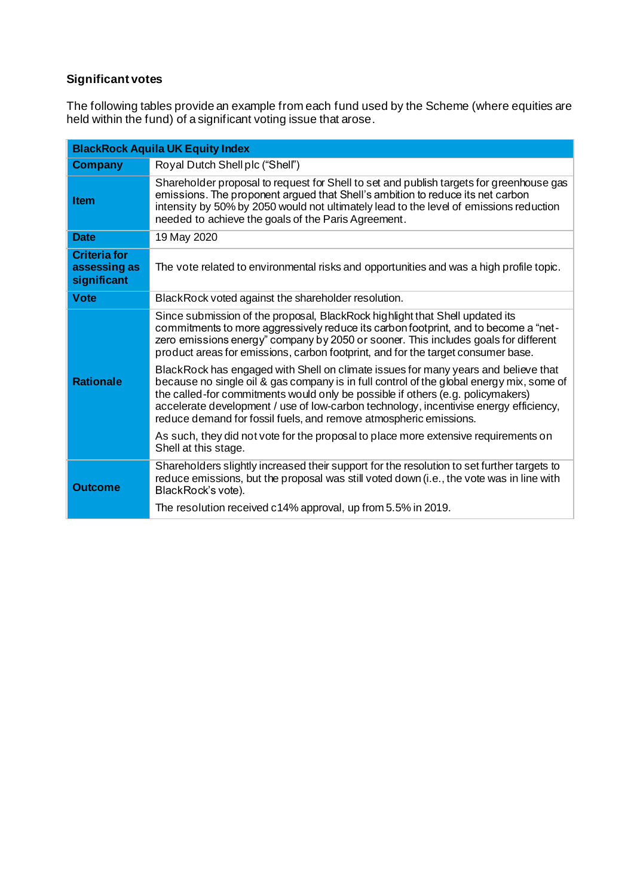# **Significant votes**

The following tables provide an example from each fund used by the Scheme (where equities are held within the fund) of a significant voting issue that arose.

| <b>BlackRock Aquila UK Equity Index</b>            |                                                                                                                                                                                                                                                                                                                                                                                                                                 |  |
|----------------------------------------------------|---------------------------------------------------------------------------------------------------------------------------------------------------------------------------------------------------------------------------------------------------------------------------------------------------------------------------------------------------------------------------------------------------------------------------------|--|
| <b>Company</b>                                     | Royal Dutch Shell plc ("Shell")                                                                                                                                                                                                                                                                                                                                                                                                 |  |
| <b>Item</b>                                        | Shareholder proposal to request for Shell to set and publish targets for greenhouse gas<br>emissions. The proponent argued that Shell's ambition to reduce its net carbon<br>intensity by 50% by 2050 would not ultimately lead to the level of emissions reduction<br>needed to achieve the goals of the Paris Agreement.                                                                                                      |  |
| <b>Date</b>                                        | 19 May 2020                                                                                                                                                                                                                                                                                                                                                                                                                     |  |
| <b>Criteria for</b><br>assessing as<br>significant | The vote related to environmental risks and opportunities and was a high profile topic.                                                                                                                                                                                                                                                                                                                                         |  |
| <b>Vote</b>                                        | BlackRock voted against the shareholder resolution.                                                                                                                                                                                                                                                                                                                                                                             |  |
|                                                    | Since submission of the proposal, BlackRock highlight that Shell updated its<br>commitments to more aggressively reduce its carbon footprint, and to become a "net-<br>zero emissions energy" company by 2050 or sooner. This includes goals for different<br>product areas for emissions, carbon footprint, and for the target consumer base.                                                                                  |  |
| <b>Rationale</b>                                   | BlackRock has engaged with Shell on climate issues for many years and believe that<br>because no single oil & gas company is in full control of the global energy mix, some of<br>the called-for commitments would only be possible if others (e.g. policymakers)<br>accelerate development / use of low-carbon technology, incentivise energy efficiency,<br>reduce demand for fossil fuels, and remove atmospheric emissions. |  |
|                                                    | As such, they did not vote for the proposal to place more extensive requirements on<br>Shell at this stage.                                                                                                                                                                                                                                                                                                                     |  |
| <b>Outcome</b>                                     | Shareholders slightly increased their support for the resolution to set further targets to<br>reduce emissions, but the proposal was still voted down (i.e., the vote was in line with<br>BlackRock's vote).                                                                                                                                                                                                                    |  |
|                                                    | The resolution received c14% approval, up from 5.5% in 2019.                                                                                                                                                                                                                                                                                                                                                                    |  |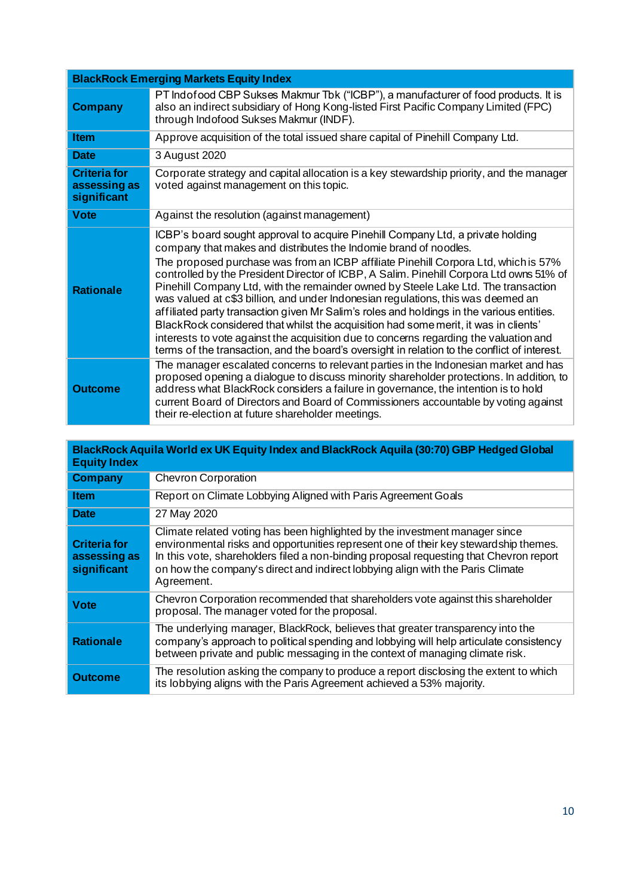| <b>BlackRock Emerging Markets Equity Index</b>     |                                                                                                                                                                                                                                                                                                                                                                                                                                                                                                                                                                                                                                                                                                                                                                                                                                                                                              |  |
|----------------------------------------------------|----------------------------------------------------------------------------------------------------------------------------------------------------------------------------------------------------------------------------------------------------------------------------------------------------------------------------------------------------------------------------------------------------------------------------------------------------------------------------------------------------------------------------------------------------------------------------------------------------------------------------------------------------------------------------------------------------------------------------------------------------------------------------------------------------------------------------------------------------------------------------------------------|--|
| <b>Company</b>                                     | PT Indofood CBP Sukses Makmur Tbk ("ICBP"), a manufacturer of food products. It is<br>also an indirect subsidiary of Hong Kong-listed First Pacific Company Limited (FPC)<br>through Indofood Sukses Makmur (INDF).                                                                                                                                                                                                                                                                                                                                                                                                                                                                                                                                                                                                                                                                          |  |
| <b>Item</b>                                        | Approve acquisition of the total issued share capital of Pinehill Company Ltd.                                                                                                                                                                                                                                                                                                                                                                                                                                                                                                                                                                                                                                                                                                                                                                                                               |  |
| <b>Date</b>                                        | 3 August 2020                                                                                                                                                                                                                                                                                                                                                                                                                                                                                                                                                                                                                                                                                                                                                                                                                                                                                |  |
| <b>Criteria for</b><br>assessing as<br>significant | Corporate strategy and capital allocation is a key stewardship priority, and the manager<br>voted against management on this topic.                                                                                                                                                                                                                                                                                                                                                                                                                                                                                                                                                                                                                                                                                                                                                          |  |
| <b>Vote</b>                                        | Against the resolution (against management)                                                                                                                                                                                                                                                                                                                                                                                                                                                                                                                                                                                                                                                                                                                                                                                                                                                  |  |
| <b>Rationale</b>                                   | ICBP's board sought approval to acquire Pinehill Company Ltd, a private holding<br>company that makes and distributes the Indomie brand of noodles.<br>The proposed purchase was from an ICBP affiliate Pinehill Corpora Ltd, which is 57%<br>controlled by the President Director of ICBP, A Salim. Pinehill Corpora Ltd owns 51% of<br>Pinehill Company Ltd, with the remainder owned by Steele Lake Ltd. The transaction<br>was valued at c\$3 billion, and under Indonesian regulations, this was deemed an<br>affiliated party transaction given Mr Salim's roles and holdings in the various entities.<br>BlackRock considered that whilst the acquisition had some merit, it was in clients'<br>interests to vote against the acquisition due to concerns regarding the valuation and<br>terms of the transaction, and the board's oversight in relation to the conflict of interest. |  |
| <b>Outcome</b>                                     | The manager escalated concerns to relevant parties in the Indonesian market and has<br>proposed opening a dialogue to discuss minority shareholder protections. In addition, to<br>address what BlackRock considers a failure in governance, the intention is to hold<br>current Board of Directors and Board of Commissioners accountable by voting against<br>their re-election at future shareholder meetings.                                                                                                                                                                                                                                                                                                                                                                                                                                                                            |  |

| BlackRock Aquila World ex UK Equity Index and BlackRock Aquila (30:70) GBP Hedged Global<br><b>Equity Index</b> |                                                                                                                                                                                                                                                                                                                                                               |  |
|-----------------------------------------------------------------------------------------------------------------|---------------------------------------------------------------------------------------------------------------------------------------------------------------------------------------------------------------------------------------------------------------------------------------------------------------------------------------------------------------|--|
| <b>Company</b>                                                                                                  | <b>Chevron Corporation</b>                                                                                                                                                                                                                                                                                                                                    |  |
| <b>Item</b>                                                                                                     | Report on Climate Lobbying Aligned with Paris Agreement Goals                                                                                                                                                                                                                                                                                                 |  |
| <b>Date</b>                                                                                                     | 27 May 2020                                                                                                                                                                                                                                                                                                                                                   |  |
| <b>Criteria for</b><br>assessing as<br>significant                                                              | Climate related voting has been highlighted by the investment manager since<br>environmental risks and opportunities represent one of their key stewardship themes.<br>In this vote, shareholders filed a non-binding proposal requesting that Chevron report<br>on how the company's direct and indirect lobbying align with the Paris Climate<br>Agreement. |  |
| <b>Vote</b>                                                                                                     | Chevron Corporation recommended that shareholders vote against this shareholder<br>proposal. The manager voted for the proposal.                                                                                                                                                                                                                              |  |
| <b>Rationale</b>                                                                                                | The underlying manager, BlackRock, believes that greater transparency into the<br>company's approach to political spending and lobbying will help articulate consistency<br>between private and public messaging in the context of managing climate risk.                                                                                                     |  |
| <b>Outcome</b>                                                                                                  | The resolution asking the company to produce a report disclosing the extent to which<br>its lobbying aligns with the Paris Agreement achieved a 53% majority.                                                                                                                                                                                                 |  |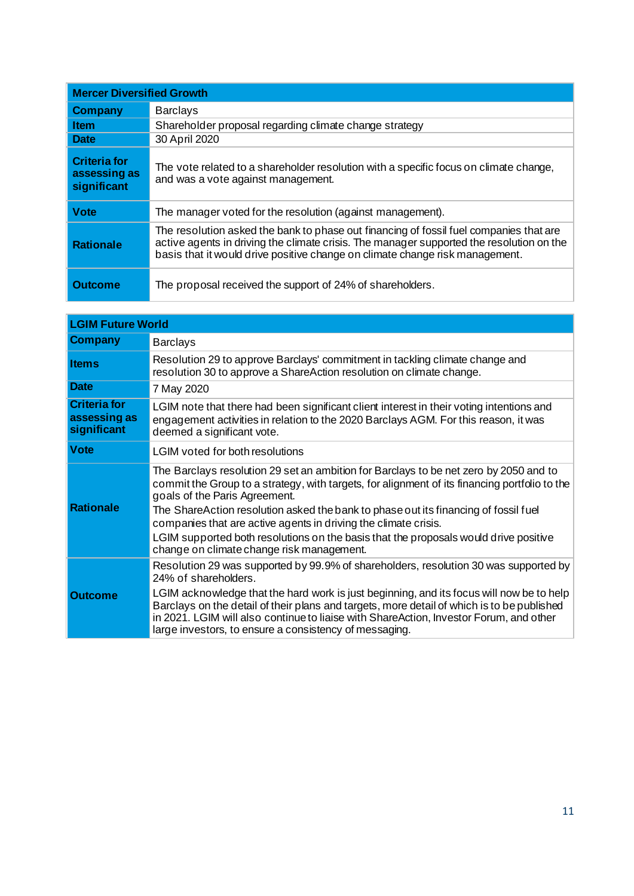| <b>Mercer Diversified Growth</b>            |                                                                                                                                                                                                                                                                    |  |
|---------------------------------------------|--------------------------------------------------------------------------------------------------------------------------------------------------------------------------------------------------------------------------------------------------------------------|--|
| <b>Company</b>                              | <b>Barclays</b>                                                                                                                                                                                                                                                    |  |
| <b>Item</b>                                 | Shareholder proposal regarding climate change strategy                                                                                                                                                                                                             |  |
| <b>Date</b>                                 | 30 April 2020                                                                                                                                                                                                                                                      |  |
| Criteria for<br>assessing as<br>significant | The vote related to a shareholder resolution with a specific focus on climate change,<br>and was a vote against management.                                                                                                                                        |  |
| <b>Vote</b>                                 | The manager voted for the resolution (against management).                                                                                                                                                                                                         |  |
| <b>Rationale</b>                            | The resolution asked the bank to phase out financing of fossil fuel companies that are<br>active agents in driving the climate crisis. The manager supported the resolution on the<br>basis that it would drive positive change on climate change risk management. |  |
| Outcome                                     | The proposal received the support of 24% of shareholders.                                                                                                                                                                                                          |  |

| <b>LGIM Future World</b>                           |                                                                                                                                                                                                                                                                                                                                                                                                                                                                                                                        |  |
|----------------------------------------------------|------------------------------------------------------------------------------------------------------------------------------------------------------------------------------------------------------------------------------------------------------------------------------------------------------------------------------------------------------------------------------------------------------------------------------------------------------------------------------------------------------------------------|--|
| <b>Company</b>                                     | <b>Barclays</b>                                                                                                                                                                                                                                                                                                                                                                                                                                                                                                        |  |
| <b>Items</b>                                       | Resolution 29 to approve Barclays' commitment in tackling climate change and<br>resolution 30 to approve a ShareAction resolution on climate change.                                                                                                                                                                                                                                                                                                                                                                   |  |
| <b>Date</b>                                        | 7 May 2020                                                                                                                                                                                                                                                                                                                                                                                                                                                                                                             |  |
| <b>Criteria for</b><br>assessing as<br>significant | LGIM note that there had been significant client interest in their voting intentions and<br>engagement activities in relation to the 2020 Barclays AGM. For this reason, it was<br>deemed a significant vote.                                                                                                                                                                                                                                                                                                          |  |
| <b>Vote</b>                                        | LGIM voted for both resolutions                                                                                                                                                                                                                                                                                                                                                                                                                                                                                        |  |
| <b>Rationale</b>                                   | The Barclays resolution 29 set an ambition for Barclays to be net zero by 2050 and to<br>commit the Group to a strategy, with targets, for alignment of its financing portfolio to the<br>goals of the Paris Agreement.<br>The ShareAction resolution asked the bank to phase out its financing of fossil fuel<br>companies that are active agents in driving the climate crisis.<br>LGIM supported both resolutions on the basis that the proposals would drive positive<br>change on climate change risk management. |  |
| <b>Outcome</b>                                     | Resolution 29 was supported by 99.9% of shareholders, resolution 30 was supported by<br>24% of shareholders.<br>LGIM acknowledge that the hard work is just beginning, and its focus will now be to help<br>Barclays on the detail of their plans and targets, more detail of which is to be published<br>in 2021. LGIM will also continue to liaise with ShareAction, Investor Forum, and other<br>large investors, to ensure a consistency of messaging.                                                             |  |